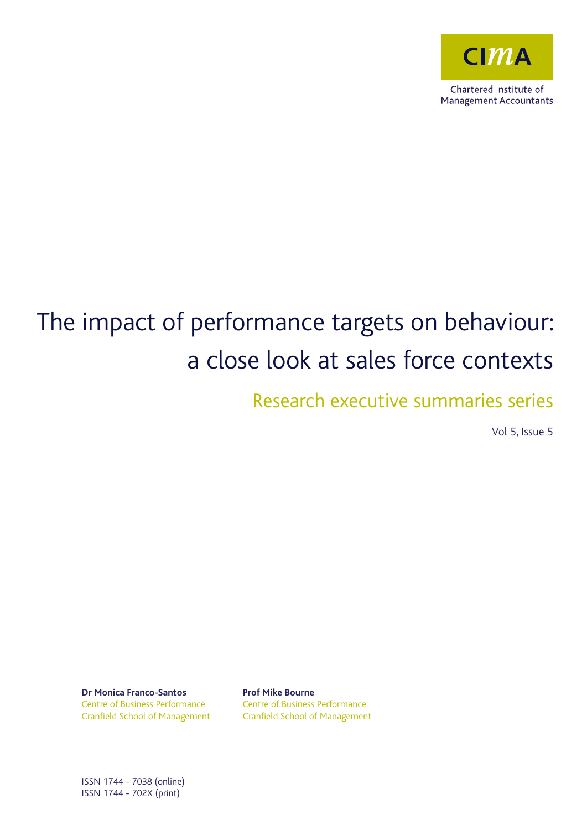

# The impact of performance targets on behaviour: a close look at sales force contexts

Research executive summaries series

Vol 5, Issue 5

**Dr Monica Franco-Santos** Centre of Business Performance Cranfield School of Management **Prof Mike Bourne**  Centre of Business Performance Cranfield School of Management

ISSN 1744 - 7038 (online) ISSN 1744 - 702X (print)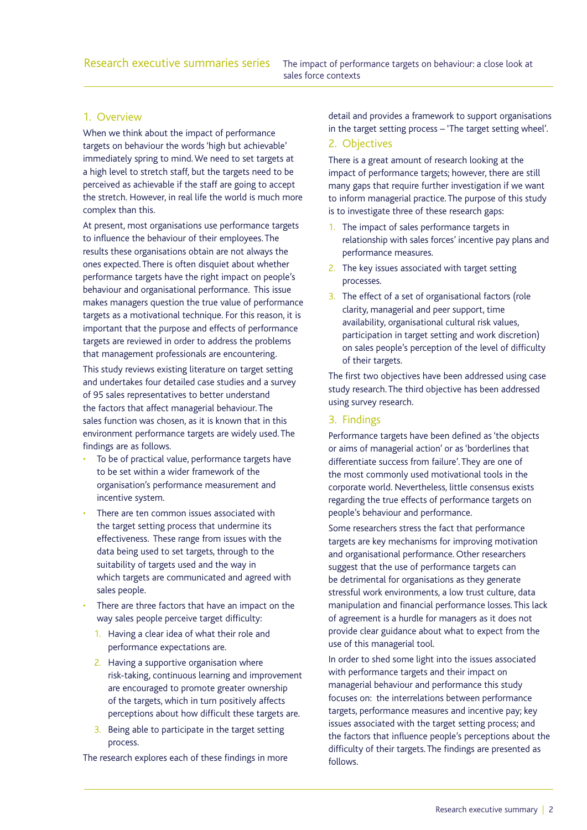# 1. Overview

When we think about the impact of performance targets on behaviour the words 'high but achievable' immediately spring to mind. We need to set targets at a high level to stretch staff, but the targets need to be perceived as achievable if the staff are going to accept the stretch. However, in real life the world is much more complex than this.

At present, most organisations use performance targets to influence the behaviour of their employees. The results these organisations obtain are not always the ones expected. There is often disquiet about whether performance targets have the right impact on people's behaviour and organisational performance. This issue makes managers question the true value of performance targets as a motivational technique. For this reason, it is important that the purpose and effects of performance targets are reviewed in order to address the problems that management professionals are encountering.

This study reviews existing literature on target setting and undertakes four detailed case studies and a survey of 95 sales representatives to better understand the factors that affect managerial behaviour. The sales function was chosen, as it is known that in this environment performance targets are widely used. The findings are as follows.

- To be of practical value, performance targets have to be set within a wider framework of the organisation's performance measurement and incentive system.
- There are ten common issues associated with the target setting process that undermine its effectiveness. These range from issues with the data being used to set targets, through to the suitability of targets used and the way in which targets are communicated and agreed with sales people.
- There are three factors that have an impact on the way sales people perceive target difficulty:
	- 1. Having a clear idea of what their role and performance expectations are.
	- 2. Having a supportive organisation where risk-taking, continuous learning and improvement are encouraged to promote greater ownership of the targets, which in turn positively affects perceptions about how difficult these targets are.
	- 3. Being able to participate in the target setting process.

The research explores each of these findings in more

detail and provides a framework to support organisations in the target setting process – 'The target setting wheel'.

#### 2. Objectives

There is a great amount of research looking at the impact of performance targets; however, there are still many gaps that require further investigation if we want to inform managerial practice. The purpose of this study is to investigate three of these research gaps:

- 1. The impact of sales performance targets in relationship with sales forces' incentive pay plans and performance measures.
- 2. The key issues associated with target setting processes.
- 3. The effect of a set of organisational factors (role clarity, managerial and peer support, time availability, organisational cultural risk values, participation in target setting and work discretion) on sales people's perception of the level of difficulty of their targets.

The first two objectives have been addressed using case study research. The third objective has been addressed using survey research.

# 3. Findings

Performance targets have been defined as 'the objects or aims of managerial action' or as 'borderlines that differentiate success from failure'. They are one of the most commonly used motivational tools in the corporate world. Nevertheless, little consensus exists regarding the true effects of performance targets on people's behaviour and performance.

Some researchers stress the fact that performance targets are key mechanisms for improving motivation and organisational performance. Other researchers suggest that the use of performance targets can be detrimental for organisations as they generate stressful work environments, a low trust culture, data manipulation and financial performance losses. This lack of agreement is a hurdle for managers as it does not provide clear guidance about what to expect from the use of this managerial tool.

In order to shed some light into the issues associated with performance targets and their impact on managerial behaviour and performance this study focuses on: the interrelations between performance targets, performance measures and incentive pay; key issues associated with the target setting process; and the factors that influence people's perceptions about the difficulty of their targets. The findings are presented as follows.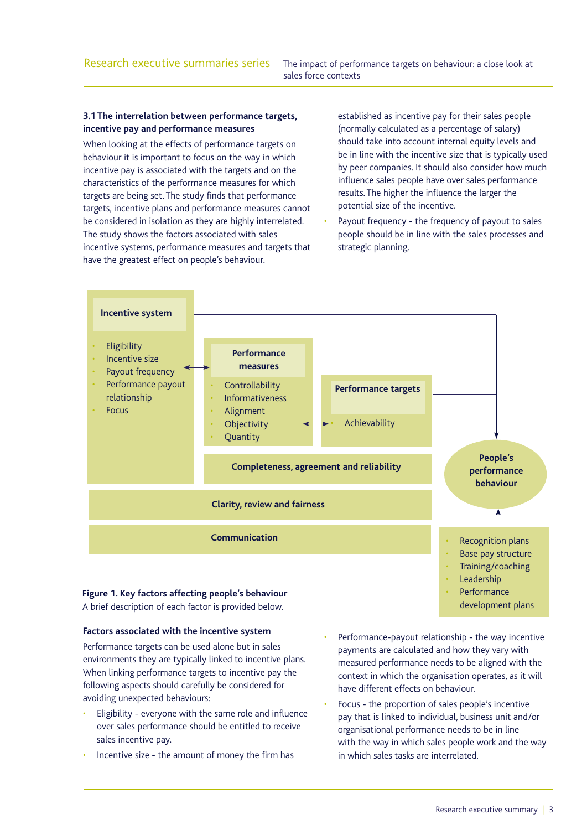# **3.1 The interrelation between performance targets, incentive pay and performance measures**

When looking at the effects of performance targets on behaviour it is important to focus on the way in which incentive pay is associated with the targets and on the characteristics of the performance measures for which targets are being set. The study finds that performance targets, incentive plans and performance measures cannot be considered in isolation as they are highly interrelated. The study shows the factors associated with sales incentive systems, performance measures and targets that have the greatest effect on people's behaviour.

established as incentive pay for their sales people (normally calculated as a percentage of salary) should take into account internal equity levels and be in line with the incentive size that is typically used by peer companies. It should also consider how much influence sales people have over sales performance results. The higher the influence the larger the potential size of the incentive.

Payout frequency - the frequency of payout to sales people should be in line with the sales processes and strategic planning.



# A brief description of each factor is provided below.

#### **Factors associated with the incentive system**

Performance targets can be used alone but in sales environments they are typically linked to incentive plans. When linking performance targets to incentive pay the following aspects should carefully be considered for avoiding unexpected behaviours:

- Eligibility everyone with the same role and influence over sales performance should be entitled to receive sales incentive pay.
- Incentive size the amount of money the firm has
- Performance-payout relationship the way incentive payments are calculated and how they vary with measured performance needs to be aligned with the context in which the organisation operates, as it will have different effects on behaviour.
- Focus the proportion of sales people's incentive pay that is linked to individual, business unit and/or organisational performance needs to be in line with the way in which sales people work and the way in which sales tasks are interrelated.

development plans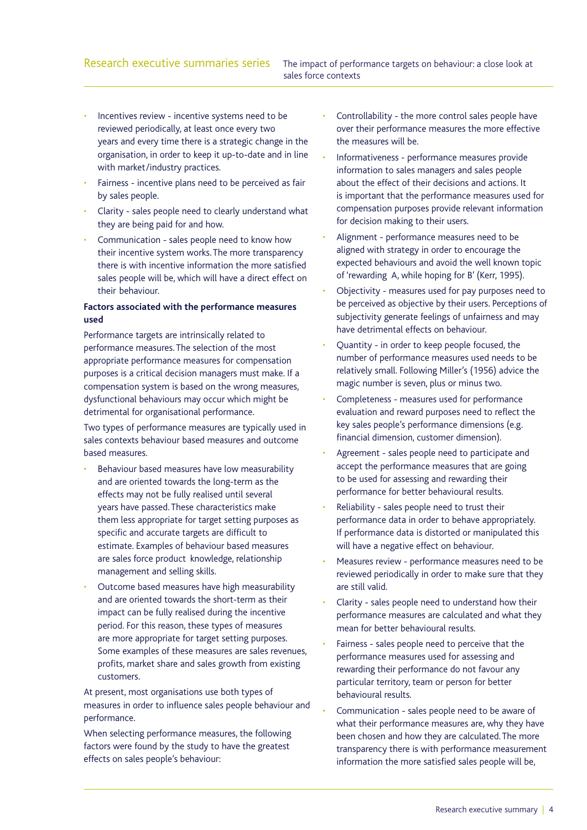- Incentives review incentive systems need to be reviewed periodically, at least once every two years and every time there is a strategic change in the organisation, in order to keep it up-to-date and in line with market/industry practices.
- Fairness incentive plans need to be perceived as fair by sales people.
- Clarity sales people need to clearly understand what they are being paid for and how.
- Communication sales people need to know how their incentive system works. The more transparency there is with incentive information the more satisfied sales people will be, which will have a direct effect on their behaviour.

# **Factors associated with the performance measures used**

Performance targets are intrinsically related to performance measures. The selection of the most appropriate performance measures for compensation purposes is a critical decision managers must make. If a compensation system is based on the wrong measures, dysfunctional behaviours may occur which might be detrimental for organisational performance.

Two types of performance measures are typically used in sales contexts behaviour based measures and outcome based measures.

- Behaviour based measures have low measurability and are oriented towards the long-term as the effects may not be fully realised until several years have passed. These characteristics make them less appropriate for target setting purposes as specific and accurate targets are difficult to estimate. Examples of behaviour based measures are sales force product knowledge, relationship management and selling skills.
- Outcome based measures have high measurability and are oriented towards the short-term as their impact can be fully realised during the incentive period. For this reason, these types of measures are more appropriate for target setting purposes. Some examples of these measures are sales revenues, profits, market share and sales growth from existing customers.

At present, most organisations use both types of measures in order to influence sales people behaviour and performance.

When selecting performance measures, the following factors were found by the study to have the greatest effects on sales people's behaviour:

- Controllability the more control sales people have over their performance measures the more effective the measures will be.
- Informativeness performance measures provide information to sales managers and sales people about the effect of their decisions and actions. It is important that the performance measures used for compensation purposes provide relevant information for decision making to their users.
- Alignment performance measures need to be aligned with strategy in order to encourage the expected behaviours and avoid the well known topic of 'rewarding A, while hoping for B' (Kerr, 1995).
- Objectivity measures used for pay purposes need to be perceived as objective by their users. Perceptions of subjectivity generate feelings of unfairness and may have detrimental effects on behaviour.
- Ouantity in order to keep people focused, the number of performance measures used needs to be relatively small. Following Miller's (1956) advice the magic number is seven, plus or minus two.
- Completeness measures used for performance evaluation and reward purposes need to reflect the key sales people's performance dimensions (e.g. financial dimension, customer dimension).
- Agreement sales people need to participate and accept the performance measures that are going to be used for assessing and rewarding their performance for better behavioural results.
- Reliability sales people need to trust their performance data in order to behave appropriately. If performance data is distorted or manipulated this will have a negative effect on behaviour.
- Measures review performance measures need to be reviewed periodically in order to make sure that they are still valid.
- Clarity sales people need to understand how their performance measures are calculated and what they mean for better behavioural results.
- Fairness sales people need to perceive that the performance measures used for assessing and rewarding their performance do not favour any particular territory, team or person for better behavioural results.
- Communication sales people need to be aware of what their performance measures are, why they have been chosen and how they are calculated. The more transparency there is with performance measurement information the more satisfied sales people will be,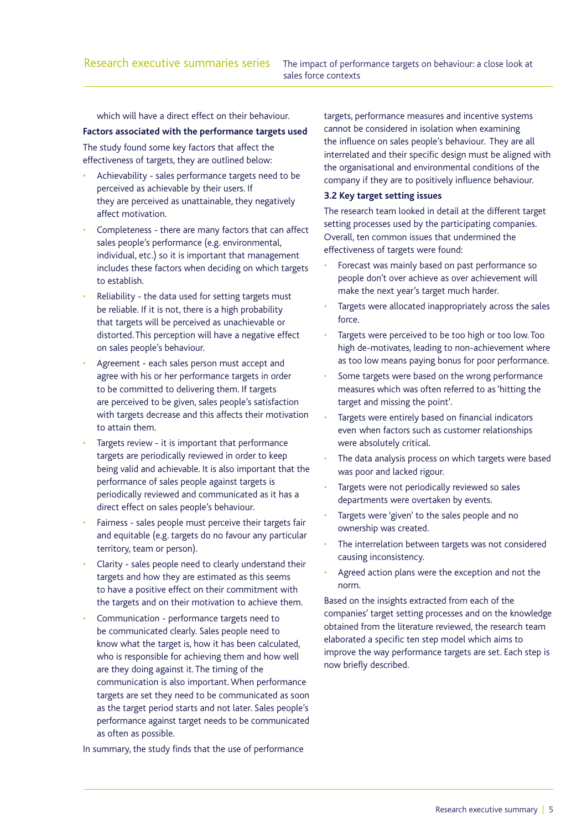which will have a direct effect on their behaviour.

#### **Factors associated with the performance targets used**

The study found some key factors that affect the effectiveness of targets, they are outlined below:

- Achievability sales performance targets need to be perceived as achievable by their users. If they are perceived as unattainable, they negatively affect motivation.
- Completeness there are many factors that can affect sales people's performance (e.g. environmental, individual, etc.) so it is important that management includes these factors when deciding on which targets to establish.
- Reliability the data used for setting targets must be reliable. If it is not, there is a high probability that targets will be perceived as unachievable or distorted. This perception will have a negative effect on sales people's behaviour.
- Agreement each sales person must accept and agree with his or her performance targets in order to be committed to delivering them. If targets are perceived to be given, sales people's satisfaction with targets decrease and this affects their motivation to attain them.
- Targets review it is important that performance targets are periodically reviewed in order to keep being valid and achievable. It is also important that the performance of sales people against targets is periodically reviewed and communicated as it has a direct effect on sales people's behaviour.
- Fairness sales people must perceive their targets fair and equitable (e.g. targets do no favour any particular territory, team or person).
- Clarity sales people need to clearly understand their targets and how they are estimated as this seems to have a positive effect on their commitment with the targets and on their motivation to achieve them.
- Communication performance targets need to be communicated clearly. Sales people need to know what the target is, how it has been calculated, who is responsible for achieving them and how well are they doing against it. The timing of the communication is also important. When performance targets are set they need to be communicated as soon as the target period starts and not later. Sales people's performance against target needs to be communicated as often as possible.

In summary, the study finds that the use of performance

targets, performance measures and incentive systems cannot be considered in isolation when examining the influence on sales people's behaviour. They are all interrelated and their specific design must be aligned with the organisational and environmental conditions of the company if they are to positively influence behaviour.

# **3.2 Key target setting issues**

The research team looked in detail at the different target setting processes used by the participating companies. Overall, ten common issues that undermined the effectiveness of targets were found:

- Forecast was mainly based on past performance so people don't over achieve as over achievement will make the next year's target much harder.
- Targets were allocated inappropriately across the sales force.
- Targets were perceived to be too high or too low. Too high de-motivates, leading to non-achievement where as too low means paying bonus for poor performance.
- Some targets were based on the wrong performance measures which was often referred to as 'hitting the target and missing the point'.
- Targets were entirely based on financial indicators even when factors such as customer relationships were absolutely critical.
- The data analysis process on which targets were based was poor and lacked rigour.
- Targets were not periodically reviewed so sales departments were overtaken by events.
- Targets were 'given' to the sales people and no ownership was created.
- The interrelation between targets was not considered causing inconsistency.
- Agreed action plans were the exception and not the norm.

Based on the insights extracted from each of the companies' target setting processes and on the knowledge obtained from the literature reviewed, the research team elaborated a specific ten step model which aims to improve the way performance targets are set. Each step is now briefly described.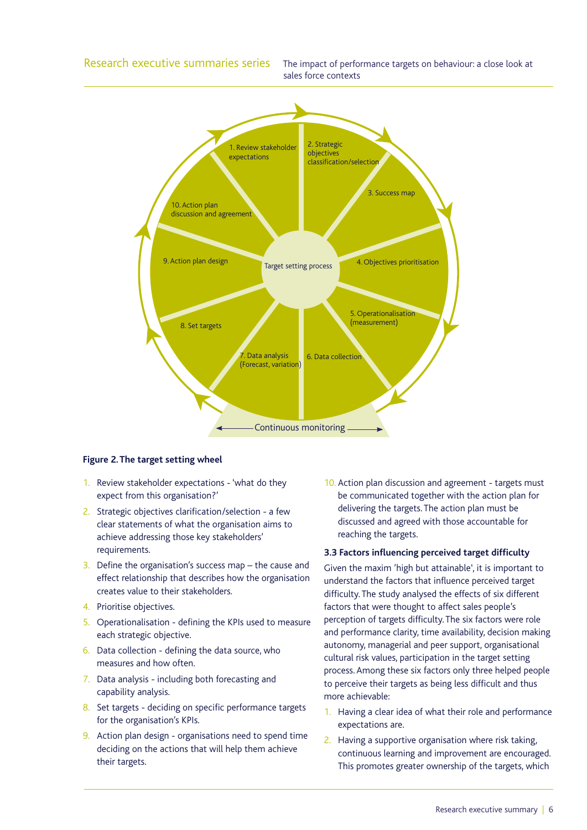

#### **Figure 2. The target setting wheel**

- 1. Review stakeholder expectations 'what do they expect from this organisation?'
- 2. Strategic objectives clarification/selection a few clear statements of what the organisation aims to achieve addressing those key stakeholders' requirements.
- 3. Define the organisation's success map  $-$  the cause and effect relationship that describes how the organisation creates value to their stakeholders.
- 4. Prioritise objectives.
- 5. Operationalisation defining the KPIs used to measure each strategic objective.
- 6. Data collection defining the data source, who measures and how often.
- 7. Data analysis including both forecasting and capability analysis.
- 8. Set targets deciding on specific performance targets for the organisation's KPIs.
- 9. Action plan design organisations need to spend time deciding on the actions that will help them achieve their targets.

10. Action plan discussion and agreement - targets must be communicated together with the action plan for delivering the targets. The action plan must be discussed and agreed with those accountable for reaching the targets.

#### **3.3 Factors influencing perceived target difficulty**

Given the maxim 'high but attainable', it is important to understand the factors that influence perceived target difficulty. The study analysed the effects of six different factors that were thought to affect sales people's perception of targets difficulty. The six factors were role and performance clarity, time availability, decision making autonomy, managerial and peer support, organisational cultural risk values, participation in the target setting process. Among these six factors only three helped people to perceive their targets as being less difficult and thus more achievable:

- 1. Having a clear idea of what their role and performance expectations are.
- 2. Having a supportive organisation where risk taking, continuous learning and improvement are encouraged. This promotes greater ownership of the targets, which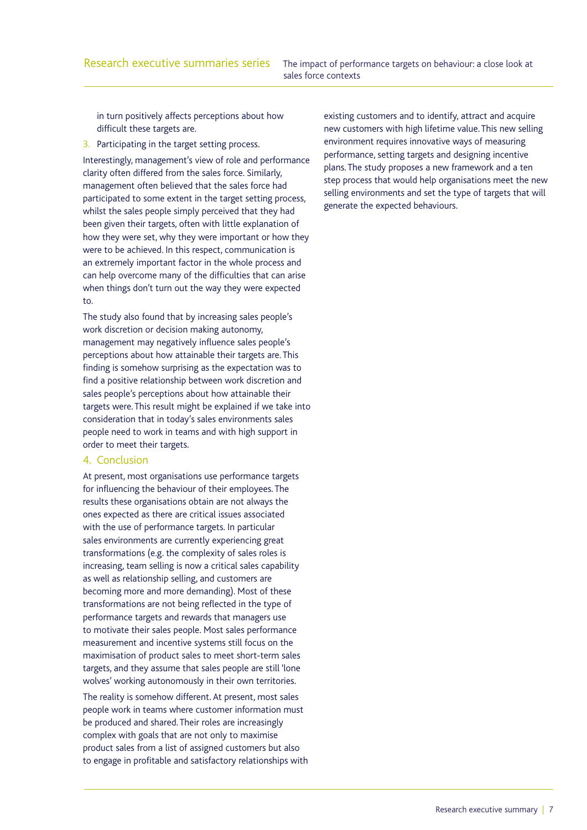in turn positively affects perceptions about how difficult these targets are.

3. Participating in the target setting process.

Interestingly, management's view of role and performance clarity often differed from the sales force. Similarly, management often believed that the sales force had participated to some extent in the target setting process, whilst the sales people simply perceived that they had been given their targets, often with little explanation of how they were set, why they were important or how they were to be achieved. In this respect, communication is an extremely important factor in the whole process and can help overcome many of the difficulties that can arise when things don't turn out the way they were expected to.

The study also found that by increasing sales people's work discretion or decision making autonomy, management may negatively influence sales people's perceptions about how attainable their targets are. This finding is somehow surprising as the expectation was to find a positive relationship between work discretion and sales people's perceptions about how attainable their targets were. This result might be explained if we take into consideration that in today's sales environments sales people need to work in teams and with high support in order to meet their targets.

# 4. Conclusion

At present, most organisations use performance targets for influencing the behaviour of their employees. The results these organisations obtain are not always the ones expected as there are critical issues associated with the use of performance targets. In particular sales environments are currently experiencing great transformations (e.g. the complexity of sales roles is increasing, team selling is now a critical sales capability as well as relationship selling, and customers are becoming more and more demanding). Most of these transformations are not being reflected in the type of performance targets and rewards that managers use to motivate their sales people. Most sales performance measurement and incentive systems still focus on the maximisation of product sales to meet short-term sales targets, and they assume that sales people are still 'lone wolves' working autonomously in their own territories.

The reality is somehow different. At present, most sales people work in teams where customer information must be produced and shared. Their roles are increasingly complex with goals that are not only to maximise product sales from a list of assigned customers but also to engage in profitable and satisfactory relationships with

existing customers and to identify, attract and acquire new customers with high lifetime value. This new selling environment requires innovative ways of measuring performance, setting targets and designing incentive plans. The study proposes a new framework and a ten step process that would help organisations meet the new selling environments and set the type of targets that will generate the expected behaviours.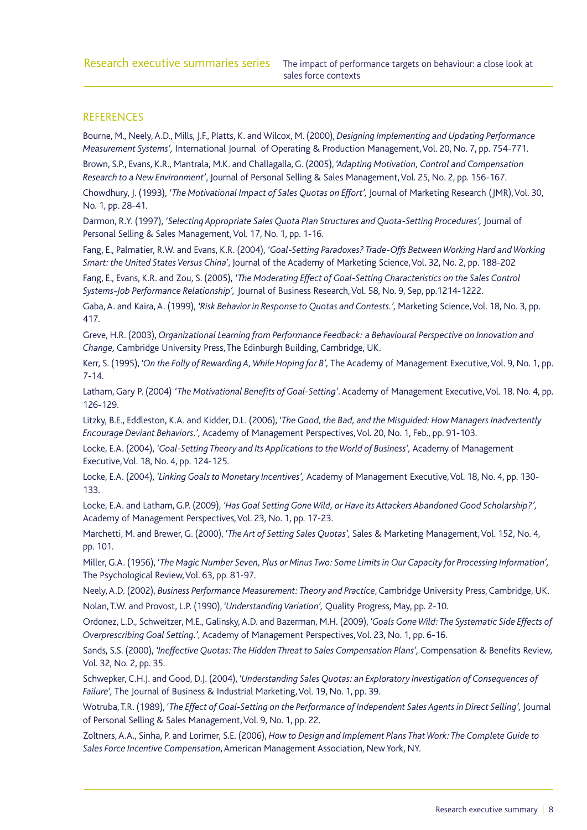# **REFERENCES**

Bourne, M., Neely, A.D., Mills, J.F., Platts, K. and Wilcox, M. (2000), *Designing Implementing and Updating Performance Measurement Systems',* International Journal of Operating & Production Management, Vol. 20, No. 7, pp. 754-771.

Brown, S.P., Evans, K.R., Mantrala, M.K. and Challagalla, G. (2005), *'Adapting Motivation, Control and Compensation Research to a New Environment'*, Journal of Personal Selling & Sales Management, Vol. 25, No. 2, pp. 156-167.

Chowdhury, J. (1993), *'The Motivational Impact of Sales Quotas on Effort',* Journal of Marketing Research (JMR), Vol. 30, No. 1, pp. 28-41.

Darmon, R.Y. (1997), 'Selecting Appropriate Sales Quota Plan Structures and Quota-Setting Procedures', Journal of Personal Selling & Sales Management, Vol. 17, No. 1, pp. 1-16.

Fang, E., Palmatier, R.W. and Evans, K.R. (2004), *'Goal-Setting Paradoxes? Trade-Offs Between Working Hard and Working Smart: the United States Versus China'*, Journal of the Academy of Marketing Science, Vol. 32, No. 2, pp. 188-202

Fang, E., Evans, K.R. and Zou, S. (2005), *'The Moderating Effect of Goal-Setting Characteristics on the Sales Control Systems-Job Performance Relationship',* Journal of Business Research, Vol. 58, No. 9, Sep, pp.1214-1222.

Gaba, A. and Kaira, A. (1999), *'Risk Behavior in Response to Quotas and Contests.',* Marketing Science, Vol. 18, No. 3, pp. 417.

Greve, H.R. (2003), *Organizational Learning from Performance Feedback: a Behavioural Perspective on Innovation and Change,* Cambridge University Press, The Edinburgh Building, Cambridge, UK.

Kerr, S. (1995), *'On the Folly of Rewarding A, While Hoping for B',* The Academy of Management Executive, Vol. 9, No. 1, pp. 7-14.

Latham, Gary P. (2004) *'The Motivational Benefits of Goal-Setting'*. Academy of Management Executive, Vol. 18. No. 4, pp. 126-129.

Litzky, B.E., Eddleston, K.A. and Kidder, D.L. (2006), *'The Good, the Bad, and the Misguided: How Managers Inadvertently Encourage Deviant Behaviors.',* Academy of Management Perspectives, Vol. 20, No. 1, Feb., pp. 91-103.

Locke, E.A. (2004), *'Goal-Setting Theory and Its Applications to the World of Business',* Academy of Management Executive, Vol. 18, No. 4, pp. 124-125.

Locke, E.A. (2004), *'Linking Goals to Monetary Incentives',* Academy of Management Executive, Vol. 18, No. 4, pp. 130- 133.

Locke, E.A. and Latham, G.P. (2009), *'Has Goal Setting Gone Wild, or Have its Attackers Abandoned Good Scholarship?',*  Academy of Management Perspectives, Vol. 23, No. 1, pp. 17-23.

Marchetti, M. and Brewer, G. (2000), *'The Art of Setting Sales Quotas',* Sales & Marketing Management, Vol. 152, No. 4, pp. 101.

Miller, G.A. (1956), *'The Magic Number Seven, Plus or Minus Two: Some Limits in Our Capacity for Processing Information',*  The Psychological Review, Vol. 63, pp. 81-97.

Neely, A.D. (2002), *Business Performance Measurement: Theory and Practice*, Cambridge University Press, Cambridge, UK. Nolan, T.W. and Provost, L.P. (1990), *'Understanding Variation',* Quality Progress, May, pp. 2-10.

Ordonez, L.D., Schweitzer, M.E., Galinsky, A.D. and Bazerman, M.H. (2009), *'Goals Gone Wild: The Systematic Side Effects of Overprescribing Goal Setting.',* Academy of Management Perspectives, Vol. 23, No. 1, pp. 6-16.

Sands, S.S. (2000), *'Ineffective Quotas: The Hidden Threat to Sales Compensation Plans',* Compensation & Benefits Review, Vol. 32, No. 2, pp. 35.

Schwepker, C.H.J. and Good, D.J. (2004), *'Understanding Sales Quotas: an Exploratory Investigation of Consequences of Failure',* The Journal of Business & Industrial Marketing, Vol. 19, No. 1, pp. 39.

Wotruba, T.R. (1989), *'The Effect of Goal-Setting on the Performance of Independent Sales Agents in Direct Selling',* Journal of Personal Selling & Sales Management, Vol. 9, No. 1, pp. 22.

Zoltners, A.A., Sinha, P. and Lorimer, S.E. (2006), *How to Design and Implement Plans That Work: The Complete Guide to Sales Force Incentive Compensation*, American Management Association, New York, NY.